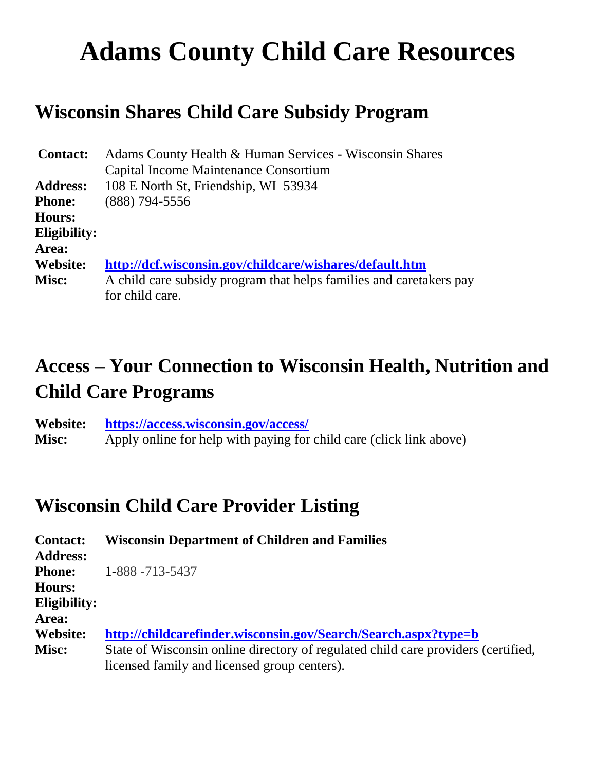# **Adams County Child Care Resources**

# **Wisconsin Shares Child Care Subsidy Program**

| <b>Contact:</b> | Adams County Health & Human Services - Wisconsin Shares             |
|-----------------|---------------------------------------------------------------------|
|                 | Capital Income Maintenance Consortium                               |
| <b>Address:</b> | 108 E North St, Friendship, WI 53934                                |
| <b>Phone:</b>   | $(888)$ 794-5556                                                    |
| <b>Hours:</b>   |                                                                     |
| Eligibility:    |                                                                     |
| Area:           |                                                                     |
| <b>Website:</b> | http://dcf.wisconsin.gov/childcare/wishares/default.htm             |
| Misc:           | A child care subsidy program that helps families and caretakers pay |
|                 | for child care.                                                     |

# **Access – Your Connection to Wisconsin Health, Nutrition and Child Care Programs**

**Website: <https://access.wisconsin.gov/access/> Misc:** Apply online for help with paying for child care (click link above)

#### **Wisconsin Child Care Provider Listing**

| <b>Contact:</b> | <b>Wisconsin Department of Children and Families</b>                              |
|-----------------|-----------------------------------------------------------------------------------|
| <b>Address:</b> |                                                                                   |
| <b>Phone:</b>   | 1-888 -713-5437                                                                   |
| <b>Hours:</b>   |                                                                                   |
| Eligibility:    |                                                                                   |
| Area:           |                                                                                   |
| <b>Website:</b> | http://childcarefinder.wisconsin.gov/Search/Search.aspx?type=b                    |
| <b>Misc:</b>    | State of Wisconsin online directory of regulated child care providers (certified, |
|                 | licensed family and licensed group centers).                                      |